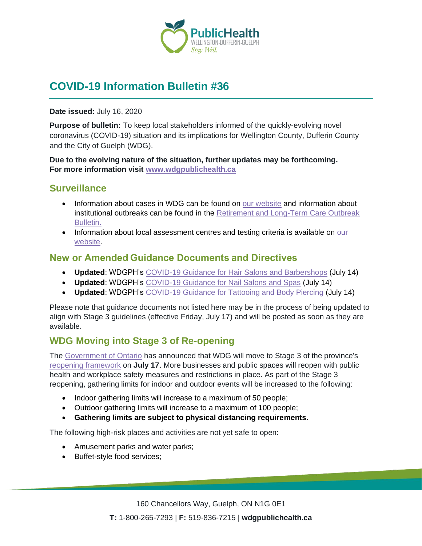

# **COVID-19 Information Bulletin #36**

**Date issued:** July 16, 2020

**Purpose of bulletin:** To keep local stakeholders informed of the quickly-evolving novel coronavirus (COVID-19) situation and its implications for Wellington County, Dufferin County and the City of Guelph (WDG).

**Due to the evolving nature of the situation, further updates may be forthcoming. For more information visit [www.wdgpublichealth.ca](http://www.wdgpublichealth.ca/)**

#### **Surveillance**

- Information about cases in WDG can be found on [our website](https://wdgpublichealth.ca/your-health/covid-19-information-public/status-cases-wdg) and information about institutional outbreaks can be found in the [Retirement and Long-Term Care Outbreak](https://wdgpublichealth.ca/node/1542)  [Bulletin.](https://wdgpublichealth.ca/node/1542)
- Information about local assessment centres and testing criteria is available on our [website.](https://www.wdgpublichealth.ca/your-health/covid-19-information-public/assessment-centres-wdg)

#### **New or Amended Guidance Documents and Directives**

- **Updated**: WDGPH's [COVID-19 Guidance for Hair Salons and Barbershops](https://www.wdgpublichealth.ca/sites/default/files/wdgph_covid-19_guidance_for_hair_salons_and_barbershops.pdf) (July 14)
- **Updated**: WDGPH's [COVID-19 Guidance for Nail Salons and Spas](https://www.wdgpublichealth.ca/sites/default/files/wdgph_covid-19_guidance_for_nail_salons_and_spas.pdf) (July 14)
- **Updated**: WDGPH's [COVID-19 Guidance for Tattooing and Body Piercing](https://www.wdgpublichealth.ca/sites/default/files/wdgph_covid-19_guidance_for_tattooing_and_body_piercing.pdf) (July 14)

Please note that guidance documents not listed here may be in the process of being updated to align with Stage 3 guidelines (effective Friday, July 17) and will be posted as soon as they are available.

### **WDG Moving into Stage 3 of Re-opening**

The [Government of Ontario](https://news.ontario.ca/opo/en/2020/07/nearly-all-businesses-and-public-spaces-to-reopen-in-stage-3.html) has announced that WDG will move to Stage 3 of the province's [reopening framework](https://files.ontario.ca/mof-framework-reopening-province-stage-3-en-2020-07-13-v2.pdf) on **July 17**. More businesses and public spaces will reopen with public health and workplace safety measures and restrictions in place. As part of the Stage 3 reopening, gathering limits for indoor and outdoor events will be increased to the following:

- Indoor gathering limits will increase to a maximum of 50 people;
- Outdoor gathering limits will increase to a maximum of 100 people;
- **Gathering limits are subject to physical distancing requirements**.

The following high-risk places and activities are not yet safe to open:

- Amusement parks and water parks;
- Buffet-style food services;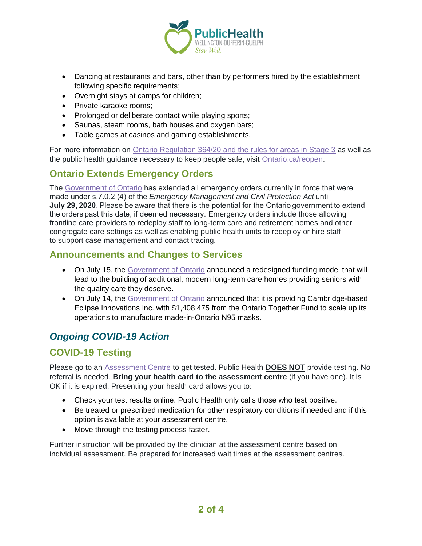

- Dancing at restaurants and bars, other than by performers hired by the establishment following specific requirements;
- Overnight stays at camps for children;
- Private karaoke rooms;
- Prolonged or deliberate contact while playing sports;
- Saunas, steam rooms, bath houses and oxygen bars;
- Table games at casinos and gaming establishments.

For more information on [Ontario Regulation 364/20 and the rules for areas in Stage 3](https://www.ontario.ca/laws/regulation/r20364) as well as the public health guidance necessary to keep people safe, visit [Ontario.ca/reopen.](http://www.ontario.ca/reopen)

### **Ontario Extends Emergency Orders**

The [Government of Ontario](https://news.ontario.ca/opo/en/2020/07/ontario-extends-emergency-orders-2.html) has extended all emergency orders currently in force that were made under s.7.0.2 (4) of the *Emergency Management and Civil Protection Act* until **July 29, 2020**. Please be aware that there is the potential for the Ontario government to extend the orders past this date, if deemed necessary. Emergency orders include those allowing frontline care providers to redeploy staff to long-term care and retirement homes and other congregate care settings as well as enabling public health units to redeploy or hire staff to support case management and contact tracing.

#### **Announcements and Changes to Services**

- On July 15, the [Government of Ontario](https://news.ontario.ca/opo/en/2020/07/ontario-accelerating-the-development-of-long-term-care-homes.html) announced a redesigned funding model that will lead to the building of additional, modern long-term care homes providing seniors with the quality care they deserve.
- On July 14, the [Government of Ontario](https://news.ontario.ca/opo/en/2020/07/province-supports-development-of-made-in-ontario-n95-respirators.html) announced that it is providing Cambridge-based Eclipse Innovations Inc. with \$1,408,475 from the Ontario Together Fund to scale up its operations to manufacture made-in-Ontario N95 masks.

### *Ongoing COVID-19 Action*

### **COVID-19 Testing**

Please go to an [Assessment Centre](https://wdgpublichealth.ca/your-health/covid-19-information-public/assessment-centres-wdg) to get tested. Public Health **DOES NOT** provide testing. No referral is needed. **Bring your health card to the assessment centre** (if you have one). It is OK if it is expired. Presenting your health card allows you to:

- Check your test results online. Public Health only calls those who test positive.
- Be treated or prescribed medication for other respiratory conditions if needed and if this option is available at your assessment centre.
- Move through the testing process faster.

Further instruction will be provided by the clinician at the assessment centre based on individual assessment. Be prepared for increased wait times at the assessment centres.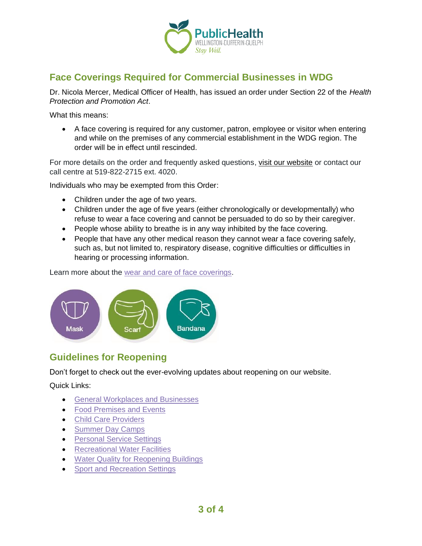

## **Face Coverings Required for Commercial Businesses in WDG**

Dr. Nicola Mercer, Medical Officer of Health, has issued an order under Section 22 of the *Health Protection and Promotion Act*.

What this means:

• A face covering is required for any customer, patron, employee or visitor when entering and while on the premises of any commercial establishment in the WDG region. The order will be in effect until rescinded.

For more details on the order and frequently asked questions, [visit our website](https://www.wdgpublichealth.ca/your-health/covid-19-information-public/face-coverings-class-order-and-faqs) or contact our call centre at 519-822-2715 ext. 4020.

Individuals who may be exempted from this Order:

- Children under the age of two years.
- Children under the age of five years (either chronologically or developmentally) who refuse to wear a face covering and cannot be persuaded to do so by their caregiver.
- People whose ability to breathe is in any way inhibited by the face covering.
- People that have any other medical reason they cannot wear a face covering safely, such as, but not limited to, respiratory disease, cognitive difficulties or difficulties in hearing or processing information.

Learn more about the [wear and care of face coverings.](https://www.wdgpublichealth.ca/your-health/covid-19-information-public/face-coverings-class-order-and-faqs/wear-and-care-face)



### **Guidelines for Reopening**

Don't forget to check out the ever-evolving updates about reopening on our website.

Quick Links:

- [General Workplaces and Businesses](https://www.wdgpublichealth.ca/your-health/covid-19-information-workplaces-and-living-spaces/workplaces-and-businesses)
- [Food Premises and Events](https://wdgpublichealth.ca/your-health/covid-19-information-workplaces-and-living-spaces/food-premises-and-events)
- [Child Care Providers](https://www.wdgpublichealth.ca/your-health/covid-19-information-workplaces-and-living-spaces/child-care-providers)
- [Summer Day Camps](https://www.wdgpublichealth.ca/your-health/covid-19-information-workplaces-and-living-spaces/summer-day-camp-providers)
- Personal [Service Settings](https://www.wdgpublichealth.ca/your-health/covid-19-information-workplaces-and-living-spaces/personal-service-settings)
- [Recreational Water Facilities](https://www.wdgpublichealth.ca/your-health/covid-19-information-workplaces-and-living-spaces/recreational-water-facilities)
- [Water Quality for Reopening Buildings](https://wdgpublichealth.ca/your-health/covid-19-information-workplaces-and-living-spaces/water-quality-reopening-buildings)
- [Sport and Recreation Settings](https://wdgpublichealth.ca/your-health/covid-19-information-workplaces-and-living-spaces/sport-and-recreation-settings)